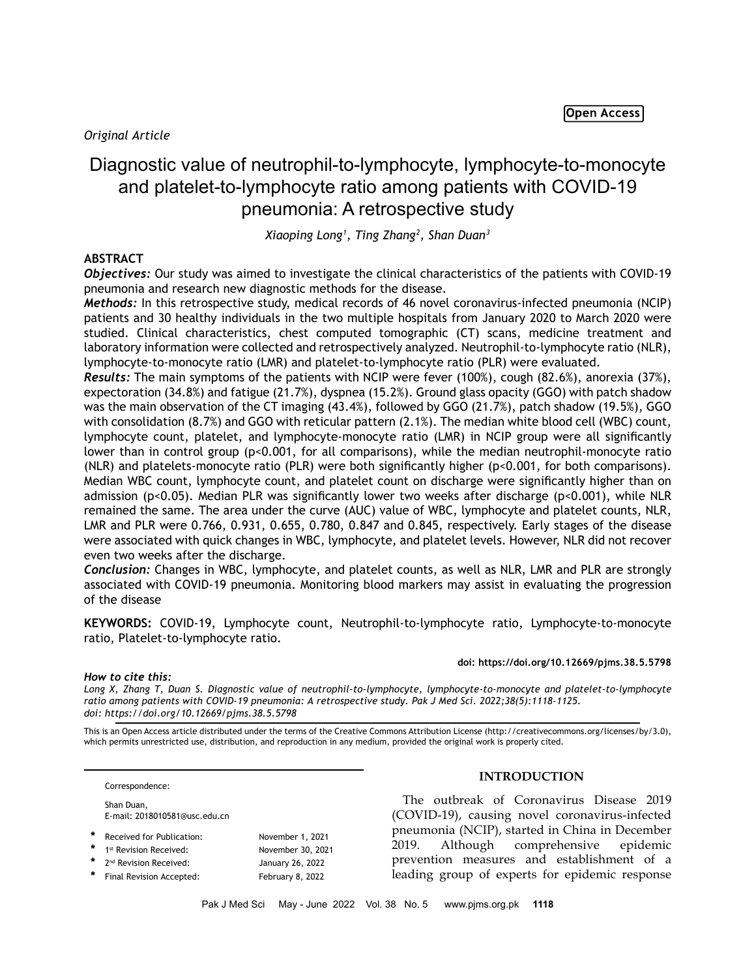# Diagnostic value of neutrophil-to-lymphocyte, lymphocyte-to-monocyte and platelet-to-lymphocyte ratio among patients with COVID-19 pneumonia: A retrospective study

*Xiaoping Long1 , Ting Zhang2 , Shan Duan3*

# **ABSTRACT**

*Objectives:* Our study was aimed to investigate the clinical characteristics of the patients with COVID-19 pneumonia and research new diagnostic methods for the disease.

*Methods:* In this retrospective study, medical records of 46 novel coronavirus-infected pneumonia (NCIP) patients and 30 healthy individuals in the two multiple hospitals from January 2020 to March 2020 were studied. Clinical characteristics, chest computed tomographic (CT) scans, medicine treatment and laboratory information were collected and retrospectively analyzed. Neutrophil-to-lymphocyte ratio (NLR), lymphocyte-to-monocyte ratio (LMR) and platelet-to-lymphocyte ratio (PLR) were evaluated.

*Results:* The main symptoms of the patients with NCIP were fever (100%), cough (82.6%), anorexia (37%), expectoration (34.8%) and fatigue (21.7%), dyspnea (15.2%). Ground glass opacity (GGO) with patch shadow was the main observation of the CT imaging (43.4%), followed by GGO (21.7%), patch shadow (19.5%), GGO with consolidation (8.7%) and GGO with reticular pattern (2.1%). The median white blood cell (WBC) count, lymphocyte count, platelet, and lymphocyte-monocyte ratio (LMR) in NCIP group were all significantly lower than in control group (p<0.001, for all comparisons), while the median neutrophil-monocyte ratio (NLR) and platelets-monocyte ratio (PLR) were both significantly higher (p<0.001, for both comparisons). Median WBC count, lymphocyte count, and platelet count on discharge were significantly higher than on admission (p<0.05). Median PLR was significantly lower two weeks after discharge (p<0.001), while NLR remained the same. The area under the curve (AUC) value of WBC, lymphocyte and platelet counts, NLR, LMR and PLR were 0.766, 0.931, 0.655, 0.780, 0.847 and 0.845, respectively. Early stages of the disease were associated with quick changes in WBC, lymphocyte, and platelet levels. However, NLR did not recover even two weeks after the discharge.

*Conclusion:* Changes in WBC, lymphocyte, and platelet counts, as well as NLR, LMR and PLR are strongly associated with COVID-19 pneumonia. Monitoring blood markers may assist in evaluating the progression of the disease

**KEYWORDS:** COVID-19, Lymphocyte count, Neutrophil-to-lymphocyte ratio, Lymphocyte-to-monocyte ratio, Platelet-to-lymphocyte ratio.

#### **doi: https://doi.org/10.12669/pjms.38.5.5798**

## *How to cite this:*

*Long X, Zhang T, Duan S. Diagnostic value of neutrophil-to-lymphocyte, lymphocyte-to-monocyte and platelet-to-lymphocyte ratio among patients with COVID-19 pneumonia: A retrospective study. Pak J Med Sci. 2022;38(5):1118-1125. doi: https://doi.org/10.12669/pjms.38.5.5798*

This is an Open Access article distributed under the terms of the Creative Commons Attribution License (http://creativecommons.org/licenses/by/3.0), which permits unrestricted use, distribution, and reproduction in any medium, provided the original work is properly cited.

Correspondence:

- Shan Duan, E-mail: 2018010581@usc.edu.cn
- Received for Publication: November 1, 2021 1<sup>st</sup> Revision Received: November 30, 2021
- 2<sup>nd</sup> Revision Received: January 26, 2022 Final Revision Accepted: February 8, 2022

# **INTRODUCTION**

The outbreak of Coronavirus Disease 2019 (COVID-19), causing novel coronavirus-infected pneumonia (NCIP), started in China in December 2019. Although comprehensive epidemic prevention measures and establishment of a leading group of experts for epidemic response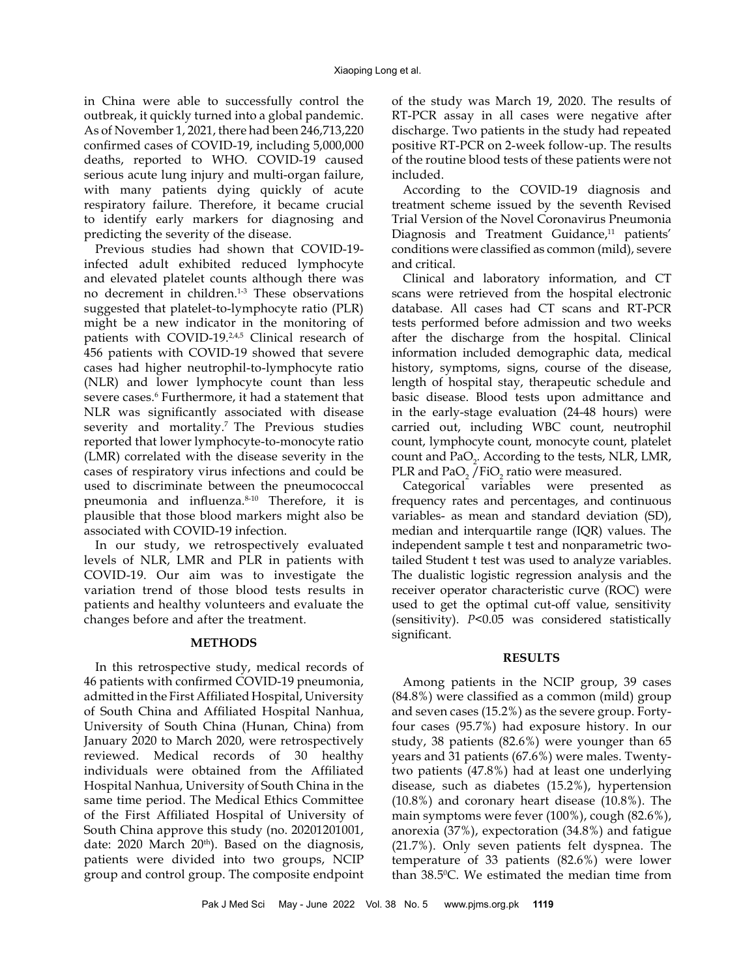in China were able to successfully control the outbreak, it quickly turned into a global pandemic. As of November 1, 2021, there had been 246,713,220 confirmed cases of COVID-19, including 5,000,000 deaths, reported to WHO. COVID-19 caused serious acute lung injury and multi-organ failure, with many patients dying quickly of acute respiratory failure. Therefore, it became crucial to identify early markers for diagnosing and predicting the severity of the disease.

Previous studies had shown that COVID-19 infected adult exhibited reduced lymphocyte and elevated platelet counts although there was no decrement in children.<sup>1-3</sup> These observations suggested that platelet-to-lymphocyte ratio (PLR) might be a new indicator in the monitoring of patients with COVID-19.<sup>2,4,5</sup> Clinical research of 456 patients with COVID-19 showed that severe cases had higher neutrophil-to-lymphocyte ratio (NLR) and lower lymphocyte count than less severe cases.<sup>6</sup> Furthermore, it had a statement that NLR was significantly associated with disease severity and mortality.<sup>7</sup> The Previous studies reported that lower lymphocyte-to-monocyte ratio (LMR) correlated with the disease severity in the cases of respiratory virus infections and could be used to discriminate between the pneumococcal pneumonia and influenza.8-10 Therefore, it is plausible that those blood markers might also be associated with COVID-19 infection.

In our study, we retrospectively evaluated levels of NLR, LMR and PLR in patients with COVID-19. Our aim was to investigate the variation trend of those blood tests results in patients and healthy volunteers and evaluate the changes before and after the treatment.

## **METHODS**

In this retrospective study, medical records of 46 patients with confirmed COVID-19 pneumonia, admitted in the First Affiliated Hospital, University of South China and Affiliated Hospital Nanhua, University of South China (Hunan, China) from January 2020 to March 2020, were retrospectively reviewed. Medical records of 30 healthy individuals were obtained from the Affiliated Hospital Nanhua, University of South China in the same time period. The Medical Ethics Committee of the First Affiliated Hospital of University of South China approve this study (no. 20201201001, date:  $2020$  March  $20<sup>th</sup>$ ). Based on the diagnosis, patients were divided into two groups, NCIP group and control group. The composite endpoint of the study was March 19, 2020. The results of RT-PCR assay in all cases were negative after discharge. Two patients in the study had repeated positive RT-PCR on 2-week follow-up. The results of the routine blood tests of these patients were not included.

According to the COVID-19 diagnosis and treatment scheme issued by the seventh Revised Trial Version of the Novel Coronavirus Pneumonia Diagnosis and Treatment Guidance,<sup>11</sup> patients' conditions were classified as common (mild), severe and critical.

Clinical and laboratory information, and CT scans were retrieved from the hospital electronic database. All cases had CT scans and RT-PCR tests performed before admission and two weeks after the discharge from the hospital. Clinical information included demographic data, medical history, symptoms, signs, course of the disease, length of hospital stay, therapeutic schedule and basic disease. Blood tests upon admittance and in the early-stage evaluation (24-48 hours) were carried out, including WBC count, neutrophil count, lymphocyte count, monocyte count, platelet count and  $PaO_2$ . According to the tests, NLR, LMR, PLR and PaO $_2$  /FiO $_2$  ratio were measured.

Categorical variables were presented as frequency rates and percentages, and continuous variables- as mean and standard deviation (SD), median and interquartile range (IQR) values. The independent sample t test and nonparametric twotailed Student t test was used to analyze variables. The dualistic logistic regression analysis and the receiver operator characteristic curve (ROC) were used to get the optimal cut-off value, sensitivity (sensitivity). *P*<0.05 was considered statistically significant.

## **RESULTS**

Among patients in the NCIP group, 39 cases (84.8%) were classified as a common (mild) group and seven cases (15.2%) as the severe group. Fortyfour cases (95.7%) had exposure history. In our study, 38 patients (82.6%) were younger than 65 years and 31 patients (67.6%) were males. Twentytwo patients (47.8%) had at least one underlying disease, such as diabetes (15.2%), hypertension (10.8%) and coronary heart disease (10.8%). The main symptoms were fever (100%), cough (82.6%), anorexia (37%), expectoration (34.8%) and fatigue (21.7%). Only seven patients felt dyspnea. The temperature of 33 patients (82.6%) were lower than 38.5°C. We estimated the median time from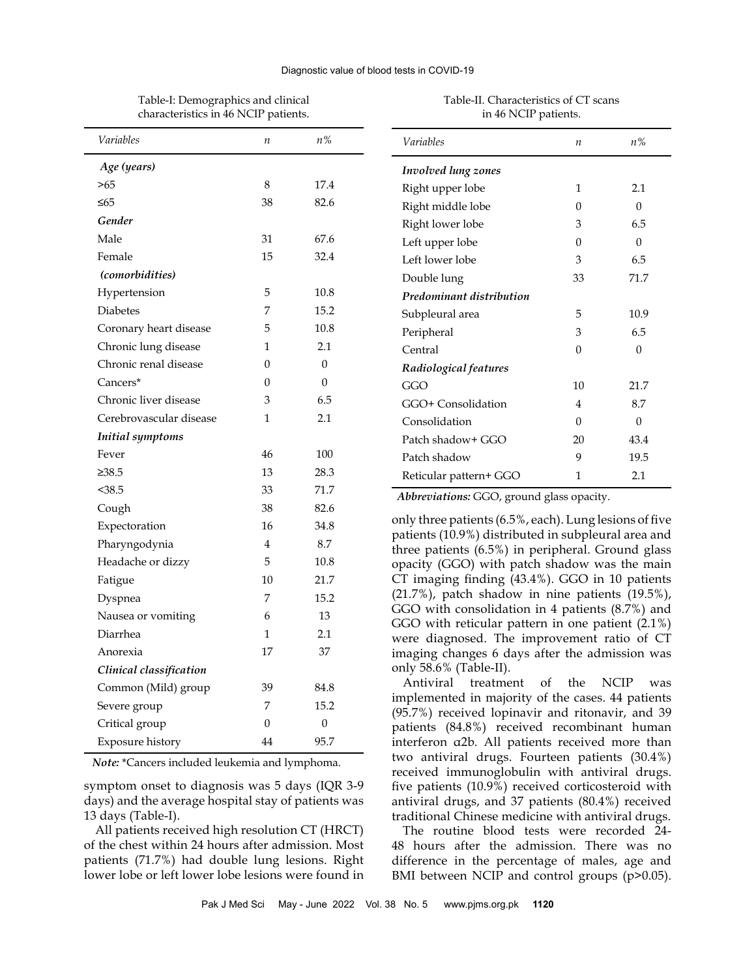#### Diagnostic value of blood tests in COVID-19

| nafacteristics in 40 inch patients. |                  |                  |
|-------------------------------------|------------------|------------------|
| Variables                           | $\boldsymbol{n}$ | $n\%$            |
| Age (years)                         |                  |                  |
| >65                                 | 8                | 17.4             |
| ≤65                                 | 38               | 82.6             |
| Gender                              |                  |                  |
| Male                                | 31               | 67.6             |
| Female                              | 15               | 32.4             |
| (comorbidities)                     |                  |                  |
| Hypertension                        | 5                | 10.8             |
| <b>Diabetes</b>                     | 7                | 15.2             |
| Coronary heart disease              | 5                | 10.8             |
| Chronic lung disease                | 1                | 2.1              |
| Chronic renal disease               | 0                | $\theta$         |
| Cancers*                            | $\Omega$         | $\theta$         |
| Chronic liver disease               | 3                | 6.5              |
| Cerebrovascular disease             | $\mathbf{1}$     | 2.1              |
| <b>Initial</b> symptoms             |                  |                  |
| Fever                               | 46               | 100              |
| $\geq 38.5$                         | 13               | 28.3             |
| $38.5$                              | 33               | 71.7             |
| Cough                               | 38               | 82.6             |
| Expectoration                       | 16               | 34.8             |
| Pharyngodynia                       | 4                | 8.7              |
| Headache or dizzy                   | 5                | 10.8             |
| Fatigue                             | 10               | 21.7             |
| Dyspnea                             | 7                | 15.2             |
| Nausea or vomiting                  | 6                | 13               |
| Diarrhea                            | $\mathbf 1$      | 2.1              |
| Anorexia                            | 17               | 37               |
| Clinical classification             |                  |                  |
| Common (Mild) group                 | 39               | 84.8             |
| Severe group                        | 7                | 15.2             |
| Critical group                      | 0                | $\boldsymbol{0}$ |
| Exposure history                    | 44               | 95.7             |

Table-I: Demographics and clinical characteristics in 46 NCIP patients.

## Table-II. Characteristics of CT scans in 46 NCIP patients.

*Variables n n%*

Right upper lobe 1 2.1 Right middle lobe 0 0 Right lower lobe 3 6.5 Left upper lobe 0 0 Left lower lobe 3 6.5 Double lung 33 71.7

Subpleural area  $5$  10.9 Peripheral 3 6.5 Central 0 0 0

GGO 10 21.7 GGO+ Consolidation 4 8.7 Consolidation 0 0 0 Patch shadow+ GGO 20 43.4 Patch shadow 9 19.5 Reticular pattern+ GGO 1 2.1

*Involved lung zones*

*Predominant distribution*

*Radiological features*

*Abbreviations:* GGO, ground glass opacity.

only three patients (6.5%, each). Lung lesions of five patients (10.9%) distributed in subpleural area and three patients (6.5%) in peripheral. Ground glass opacity (GGO) with patch shadow was the main CT imaging finding (43.4%). GGO in 10 patients (21.7%), patch shadow in nine patients (19.5%), GGO with consolidation in 4 patients (8.7%) and GGO with reticular pattern in one patient (2.1%) were diagnosed. The improvement ratio of CT imaging changes 6 days after the admission was only 58.6% (Table-II).

Antiviral treatment of the NCIP was implemented in majority of the cases. 44 patients (95.7%) received lopinavir and ritonavir, and 39 patients (84.8%) received recombinant human interferon α2b. All patients received more than two antiviral drugs. Fourteen patients (30.4%) received immunoglobulin with antiviral drugs. five patients (10.9%) received corticosteroid with antiviral drugs, and 37 patients (80.4%) received traditional Chinese medicine with antiviral drugs.

The routine blood tests were recorded 24- 48 hours after the admission. There was no difference in the percentage of males, age and BMI between NCIP and control groups (p>0.05).

*Note:* \*Cancers included leukemia and lymphoma.

symptom onset to diagnosis was 5 days (IQR 3-9 days) and the average hospital stay of patients was 13 days (Table-I).

All patients received high resolution CT (HRCT) of the chest within 24 hours after admission. Most patients (71.7%) had double lung lesions. Right lower lobe or left lower lobe lesions were found in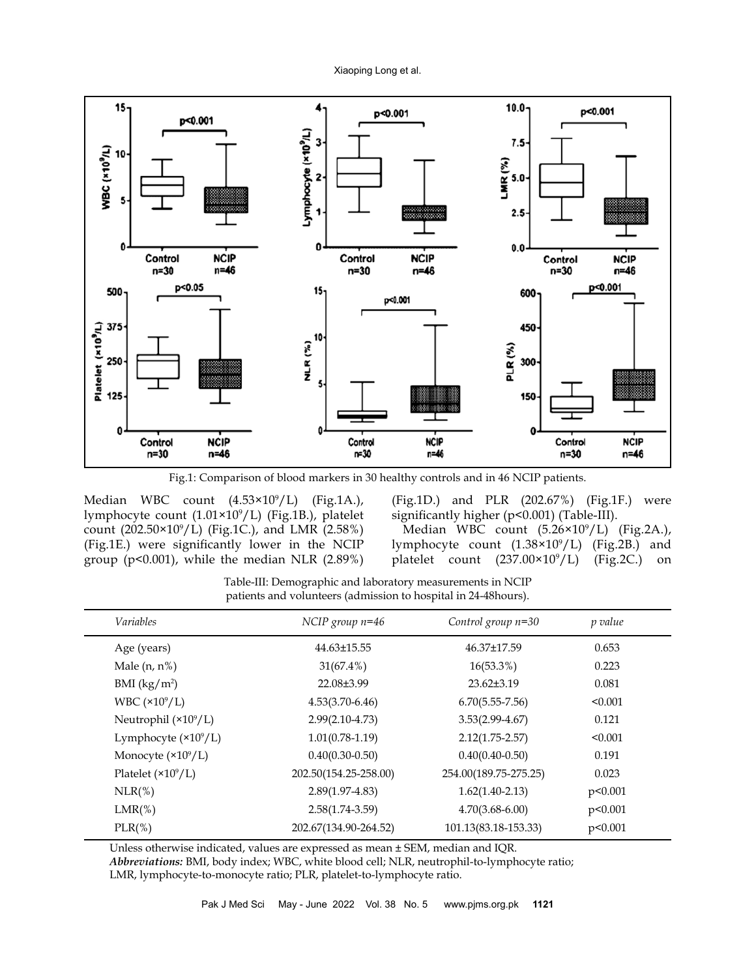

Fig.1: Comparison of blood markers in 30 healthy controls and in 46 NCIP patients.

Median WBC count (4.53×10<sup>9</sup>/L) (Fig.1A.), lymphocyte count (1.01×10<sup>9</sup> /L) (Fig.1B.), platelet count (202.50×10<sup>9</sup> /L) (Fig.1C.), and LMR (2.58%) (Fig.1E.) were significantly lower in the NCIP group ( $p<0.001$ ), while the median NLR (2.89%)

(Fig.1D.) and PLR (202.67%) (Fig.1F.) were significantly higher (p<0.001) (Table-III).

Median WBC count (5.26×10<sup>9</sup> /L) (Fig.2A.), lymphocyte count (1.38×10<sup>9</sup> /L) (Fig.2B.) and platelet count (237.00×10<sup>9</sup> /L) (Fig.2C.) on

Table-III: Demographic and laboratory measurements in NCIP patients and volunteers (admission to hospital in 24-48hours).

| <i>Variables</i>             | NCIP group $n=46$     | Control group $n=30$  | p value |  |
|------------------------------|-----------------------|-----------------------|---------|--|
| Age (years)                  | 44.63±15.55           | 46.37±17.59           | 0.653   |  |
| Male $(n, n%)$               | $31(67.4\%)$          | $16(53.3\%)$          | 0.223   |  |
| BMI $(kg/m^2)$               | 22.08±3.99            | 23.62±3.19            | 0.081   |  |
| WBC $(\times 10^9/L)$        | $4.53(3.70-6.46)$     | $6.70(5.55-7.56)$     | < 0.001 |  |
| Neutrophil $(\times 10^9/L)$ | $2.99(2.10-4.73)$     | $3.53(2.99-4.67)$     | 0.121   |  |
| Lymphocyte $(\times 10^9/L)$ | $1.01(0.78-1.19)$     | $2.12(1.75 - 2.57)$   | < 0.001 |  |
| Monocyte $(\times 10^9/L)$   | $0.40(0.30-0.50)$     | $0.40(0.40 - 0.50)$   | 0.191   |  |
| Platelet $(\times 10^9/L)$   | 202.50(154.25-258.00) | 254.00(189.75-275.25) | 0.023   |  |
| $NLR$ (%)                    | $2.89(1.97-4.83)$     | $1.62(1.40-2.13)$     | p<0.001 |  |
| $LMR(\%)$                    | $2.58(1.74-3.59)$     | $4.70(3.68 - 6.00)$   | p<0.001 |  |
| $PLR(\%)$                    | 202.67(134.90-264.52) | 101.13(83.18-153.33)  | p<0.001 |  |
|                              |                       |                       |         |  |

Unless otherwise indicated, values are expressed as mean ± SEM, median and IQR.

*Abbreviations:* BMI, body index; WBC, white blood cell; NLR, neutrophil-to-lymphocyte ratio; LMR, lymphocyte-to-monocyte ratio; PLR, platelet-to-lymphocyte ratio.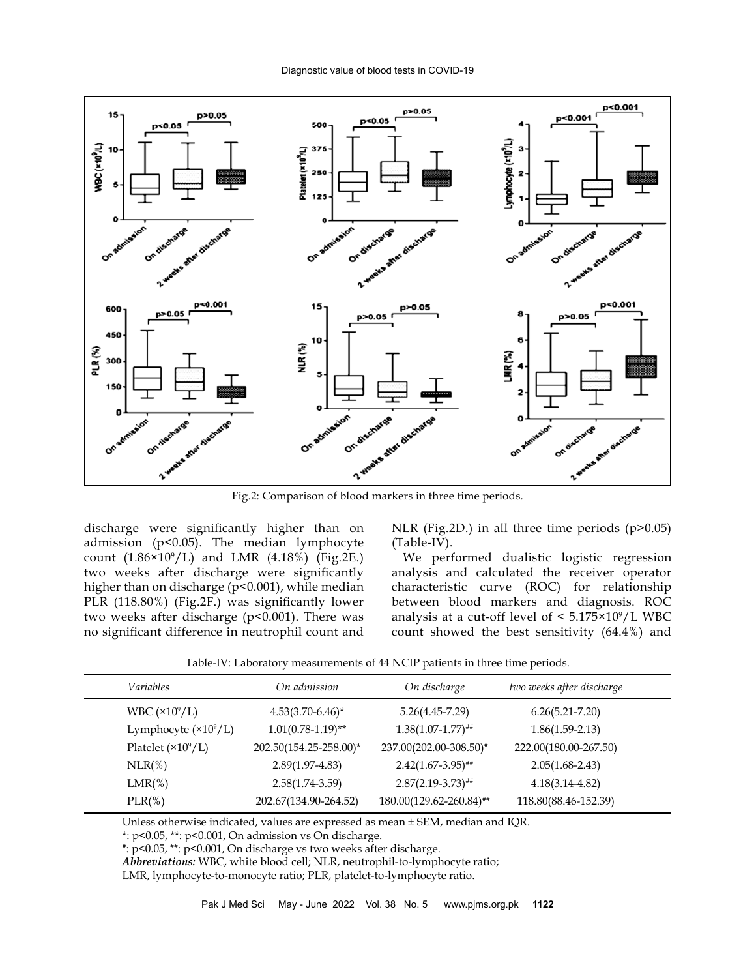

Fig.2: Comparison of blood markers in three time periods.

discharge were significantly higher than on admission (p<0.05). The median lymphocyte count  $(1.86 \times 10^9 / L)$  and LMR  $(4.18\%)$  (Fig.2E.) two weeks after discharge were significantly higher than on discharge (p<0.001), while median PLR (118.80%) (Fig.2F.) was significantly lower two weeks after discharge (p<0.001). There was no significant difference in neutrophil count and

NLR (Fig.2D.) in all three time periods (p>0.05) (Table-IV).

We performed dualistic logistic regression analysis and calculated the receiver operator characteristic curve (ROC) for relationship between blood markers and diagnosis. ROC analysis at a cut-off level of  $\leq 5.175 \times 10^9 / L$  WBC count showed the best sensitivity (64.4%) and

|  | Table-IV: Laboratory measurements of 44 NCIP patients in three time periods. |  |  |
|--|------------------------------------------------------------------------------|--|--|
|--|------------------------------------------------------------------------------|--|--|

| Variables                    | On admission           | On discharge             | two weeks after discharge |
|------------------------------|------------------------|--------------------------|---------------------------|
| WBC $(\times 10^9/L)$        | $4.53(3.70-6.46)^*$    | $5.26(4.45 - 7.29)$      | $6.26(5.21 - 7.20)$       |
| Lymphocyte $(\times 10^9/L)$ | $1.01(0.78-1.19)$ **   | $1.38(1.07 - 1.77)^{**}$ | $1.86(1.59-2.13)$         |
| Platelet $(\times 10^9/L)$   | 202.50(154.25-258.00)* | 237.00(202.00-308.50)#   | 222.00(180.00-267.50)     |
| $NLR(\%)$                    | $2.89(1.97 - 4.83)$    | $2.42(1.67-3.95)$ ##     | $2.05(1.68 - 2.43)$       |
| $LMR(\%)$                    | $2.58(1.74-3.59)$      | $2.87(2.19-3.73)$ ##     | $4.18(3.14 - 4.82)$       |
| $PLR(\%)$                    | 202.67(134.90-264.52)  | 180.00(129.62-260.84)##  | 118.80(88.46-152.39)      |

Unless otherwise indicated, values are expressed as mean ± SEM, median and IQR.

\*: p<0.05, \*\*: p<0.001, On admission vs On discharge.

*Abbreviations:* WBC, white blood cell; NLR, neutrophil-to-lymphocyte ratio;

LMR, lymphocyte-to-monocyte ratio; PLR, platelet-to-lymphocyte ratio.

<sup>#</sup>: p<0.05, ##: p<0.001, On discharge vs two weeks after discharge.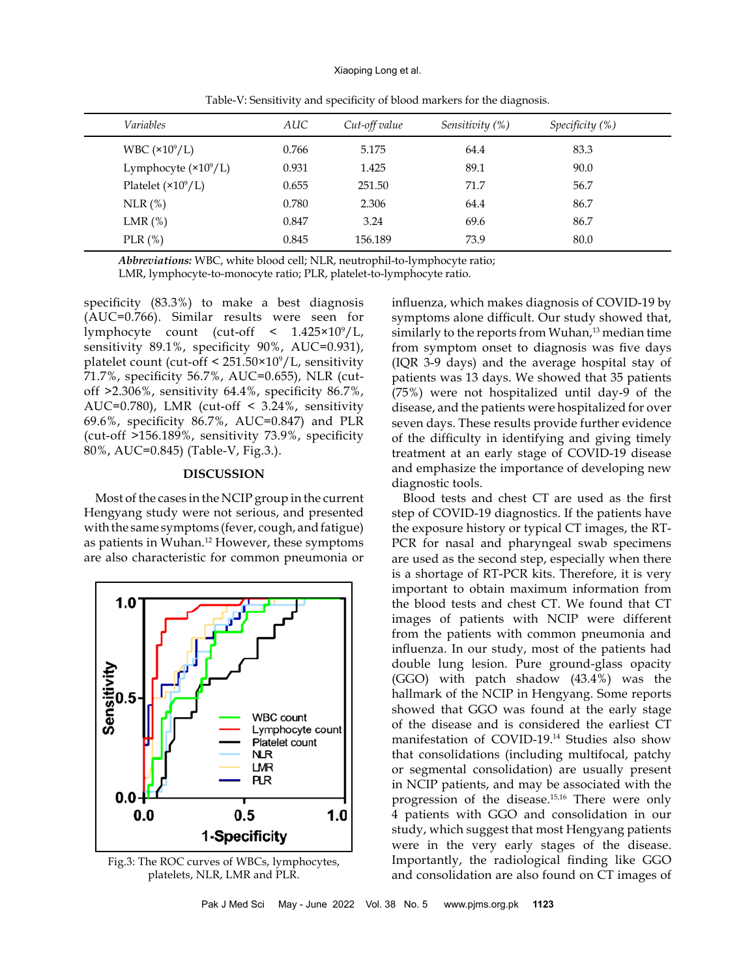| Variables                  | AUC   | Cut-off value | Sensitivity (%) | Specificity $(\%)$ |
|----------------------------|-------|---------------|-----------------|--------------------|
| WBC $(\times 10^9/L)$      | 0.766 | 5.175         | 64.4            | 83.3               |
| Lymphocyte $(*109/L)$      | 0.931 | 1.425         | 89.1            | 90.0               |
| Platelet $(\times 10^9/L)$ | 0.655 | 251.50        | 71.7            | 56.7               |
| $NLR$ $(\%)$               | 0.780 | 2.306         | 64.4            | 86.7               |
| LMR $(\%)$                 | 0.847 | 3.24          | 69.6            | 86.7               |
| PLR $(\%)$                 | 0.845 | 156.189       | 73.9            | 80.0               |

Table-V: Sensitivity and specificity of blood markers for the diagnosis.

*Abbreviations:* WBC, white blood cell; NLR, neutrophil-to-lymphocyte ratio;

LMR, lymphocyte-to-monocyte ratio; PLR, platelet-to-lymphocyte ratio.

specificity (83.3%) to make a best diagnosis (AUC=0.766). Similar results were seen for lymphocyte count (cut-off < 1.425×10<sup>9</sup> /L, sensitivity 89.1%, specificity 90%, AUC=0.931), platelet count (cut-off < 251.50×10<sup>9</sup> /L, sensitivity 71.7%, specificity 56.7%, AUC=0.655), NLR (cutoff >2.306%, sensitivity 64.4%, specificity 86.7%, AUC=0.780), LMR (cut-off < 3.24%, sensitivity 69.6%, specificity 86.7%, AUC=0.847) and PLR (cut-off >156.189%, sensitivity 73.9%, specificity 80%, AUC=0.845) (Table-V, Fig.3.).

## **DISCUSSION**

Most of the cases in the NCIP group in the current Hengyang study were not serious, and presented with the same symptoms (fever, cough, and fatigue) as patients in Wuhan.12 However, these symptoms are also characteristic for common pneumonia or



Fig.3: The ROC curves of WBCs, lymphocytes, platelets, NLR, LMR and PLR.

influenza, which makes diagnosis of COVID-19 by symptoms alone difficult. Our study showed that, similarly to the reports from Wuhan,<sup>13</sup> median time from symptom onset to diagnosis was five days (IQR 3-9 days) and the average hospital stay of patients was 13 days. We showed that 35 patients (75%) were not hospitalized until day-9 of the disease, and the patients were hospitalized for over seven days. These results provide further evidence of the difficulty in identifying and giving timely treatment at an early stage of COVID-19 disease and emphasize the importance of developing new diagnostic tools.

Blood tests and chest CT are used as the first step of COVID-19 diagnostics. If the patients have the exposure history or typical CT images, the RT-PCR for nasal and pharyngeal swab specimens are used as the second step, especially when there is a shortage of RT-PCR kits. Therefore, it is very important to obtain maximum information from the blood tests and chest CT. We found that CT images of patients with NCIP were different from the patients with common pneumonia and influenza. In our study, most of the patients had double lung lesion. Pure ground-glass opacity (GGO) with patch shadow (43.4%) was the hallmark of the NCIP in Hengyang. Some reports showed that GGO was found at the early stage of the disease and is considered the earliest CT manifestation of COVID-19.14 Studies also show that consolidations (including multifocal, patchy or segmental consolidation) are usually present in NCIP patients, and may be associated with the progression of the disease.15,16 There were only 4 patients with GGO and consolidation in our study, which suggest that most Hengyang patients were in the very early stages of the disease. Importantly, the radiological finding like GGO and consolidation are also found on CT images of

Pak J Med Sci May - June 2022 Vol. 38 No. 5 www.pjms.org.pk **1123**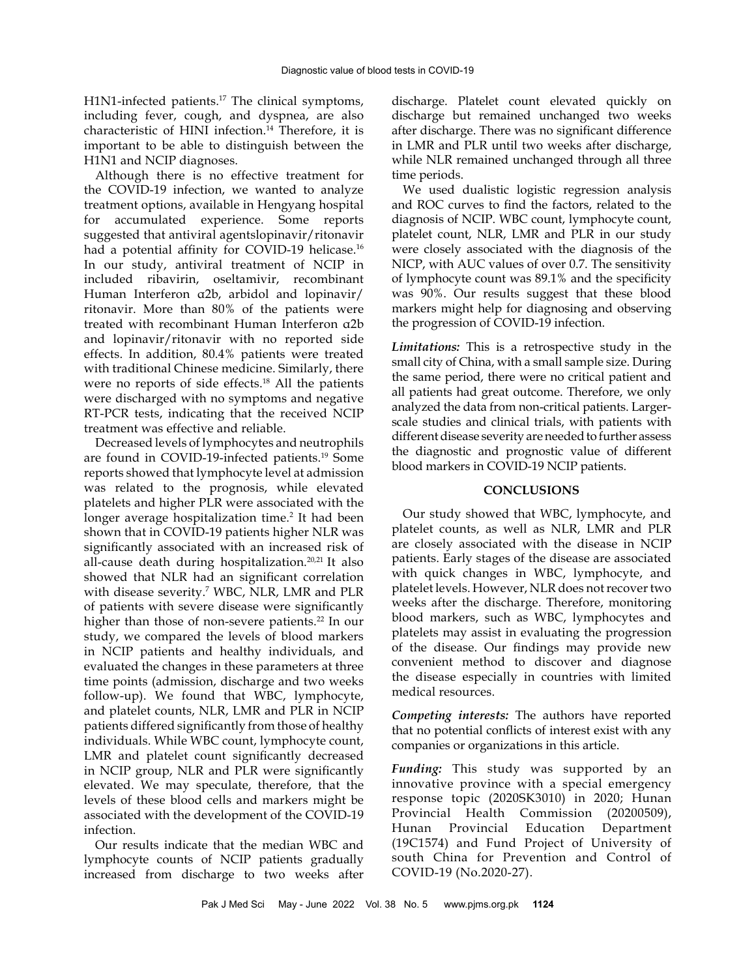H1N1-infected patients.<sup>17</sup> The clinical symptoms, including fever, cough, and dyspnea, are also characteristic of HINI infection.14 Therefore, it is important to be able to distinguish between the H1N1 and NCIP diagnoses.

Although there is no effective treatment for the COVID-19 infection, we wanted to analyze treatment options, available in Hengyang hospital for accumulated experience. Some reports suggested that antiviral agentslopinavir/ritonavir had a potential affinity for COVID-19 helicase.<sup>16</sup> In our study, antiviral treatment of NCIP in included ribavirin, oseltamivir, recombinant Human Interferon α2b, arbidol and lopinavir/ ritonavir. More than 80% of the patients were treated with recombinant Human Interferon α2b and lopinavir/ritonavir with no reported side effects. In addition, 80.4% patients were treated with traditional Chinese medicine. Similarly, there were no reports of side effects.<sup>18</sup> All the patients were discharged with no symptoms and negative RT-PCR tests, indicating that the received NCIP treatment was effective and reliable.

Decreased levels of lymphocytes and neutrophils are found in COVID-19-infected patients.19 Some reports showed that lymphocyte level at admission was related to the prognosis, while elevated platelets and higher PLR were associated with the longer average hospitalization time.<sup>2</sup> It had been shown that in COVID-19 patients higher NLR was significantly associated with an increased risk of all-cause death during hospitalization.20,21 It also showed that NLR had an significant correlation with disease severity.7 WBC, NLR, LMR and PLR of patients with severe disease were significantly higher than those of non-severe patients.<sup>22</sup> In our study, we compared the levels of blood markers in NCIP patients and healthy individuals, and evaluated the changes in these parameters at three time points (admission, discharge and two weeks follow-up). We found that WBC, lymphocyte, and platelet counts, NLR, LMR and PLR in NCIP patients differed significantly from those of healthy individuals. While WBC count, lymphocyte count, LMR and platelet count significantly decreased in NCIP group, NLR and PLR were significantly elevated. We may speculate, therefore, that the levels of these blood cells and markers might be associated with the development of the COVID-19 infection.

Our results indicate that the median WBC and lymphocyte counts of NCIP patients gradually increased from discharge to two weeks after

discharge. Platelet count elevated quickly on discharge but remained unchanged two weeks after discharge. There was no significant difference in LMR and PLR until two weeks after discharge, while NLR remained unchanged through all three time periods.

We used dualistic logistic regression analysis and ROC curves to find the factors, related to the diagnosis of NCIP. WBC count, lymphocyte count, platelet count, NLR, LMR and PLR in our study were closely associated with the diagnosis of the NICP, with AUC values of over 0.7. The sensitivity of lymphocyte count was 89.1% and the specificity was 90%. Our results suggest that these blood markers might help for diagnosing and observing the progression of COVID-19 infection.

*Limitations:* This is a retrospective study in the small city of China, with a small sample size. During the same period, there were no critical patient and all patients had great outcome. Therefore, we only analyzed the data from non-critical patients. Largerscale studies and clinical trials, with patients with different disease severity are needed to further assess the diagnostic and prognostic value of different blood markers in COVID-19 NCIP patients.

## **CONCLUSIONS**

Our study showed that WBC, lymphocyte, and platelet counts, as well as NLR, LMR and PLR are closely associated with the disease in NCIP patients. Early stages of the disease are associated with quick changes in WBC, lymphocyte, and platelet levels. However, NLR does not recover two weeks after the discharge. Therefore, monitoring blood markers, such as WBC, lymphocytes and platelets may assist in evaluating the progression of the disease. Our findings may provide new convenient method to discover and diagnose the disease especially in countries with limited medical resources.

*Competing interests:* The authors have reported that no potential conflicts of interest exist with any companies or organizations in this article.

*Funding:* This study was supported by an innovative province with a special emergency response topic (2020SK3010) in 2020; Hunan Provincial Health Commission (20200509), Hunan Provincial Education Department (19C1574) and Fund Project of University of south China for Prevention and Control of COVID-19 (No.2020-27).